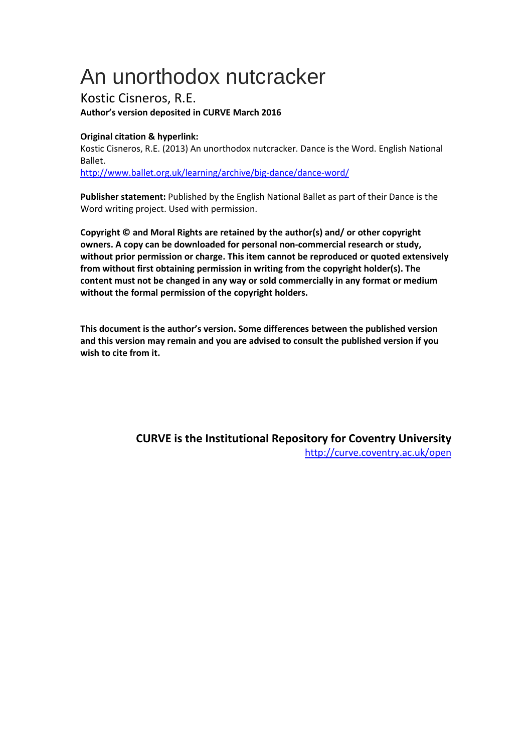## An unorthodox nutcracker

Kostic Cisneros, R.E. **Author's version deposited in CURVE March 2016**

## **Original citation & hyperlink:**

Kostic Cisneros, R.E. (2013) An unorthodox nutcracker. Dance is the Word. English National Ballet. <http://www.ballet.org.uk/learning/archive/big-dance/dance-word/>

**Publisher statement:** Published by the English National Ballet as part of their Dance is the Word writing project. Used with permission.

**Copyright © and Moral Rights are retained by the author(s) and/ or other copyright owners. A copy can be downloaded for personal non-commercial research or study, without prior permission or charge. This item cannot be reproduced or quoted extensively from without first obtaining permission in writing from the copyright holder(s). The content must not be changed in any way or sold commercially in any format or medium without the formal permission of the copyright holders.** 

**This document is the author's version. Some differences between the published version and this version may remain and you are advised to consult the published version if you wish to cite from it.** 

> **CURVE is the Institutional Repo[sitory for Coventry University](http://curve.coventry.ac.uk/open)** http://curve.coventry.ac.uk/open